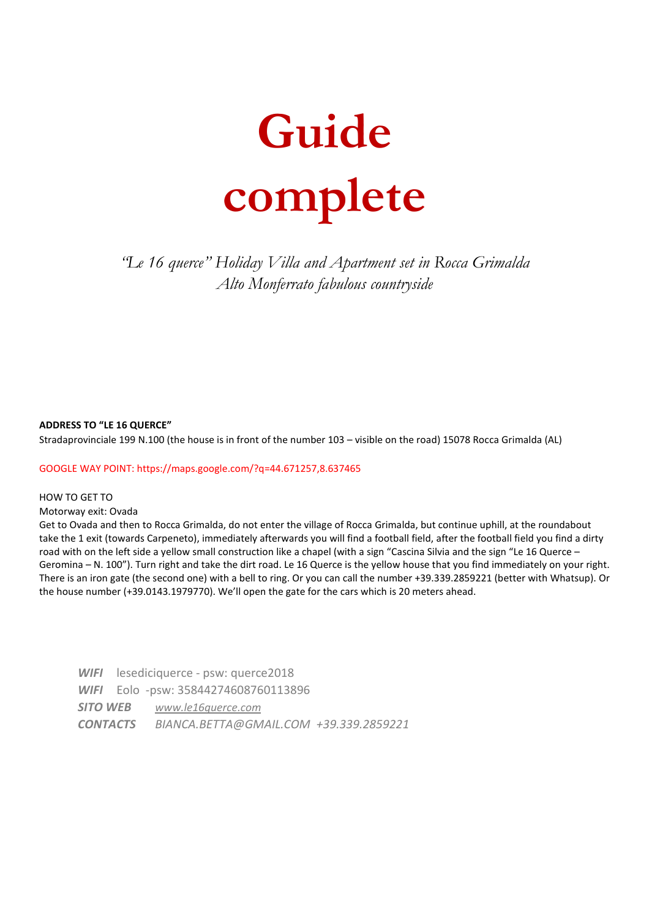

*"Le 16 querce" Holiday Villa and Apartment set in Rocca Grimalda Alto Monferrato fabulous countryside* 

### **ADDRESS TO "LE 16 QUERCE"**

Stradaprovinciale 199 N.100 (the house is in front of the number 103 – visible on the road) 15078 Rocca Grimalda (AL)

#### GOOGLE WAY POINT: https://maps.google.com/?q=44.671257,8.637465

### HOW TO GET TO

#### Motorway exit: Ovada

Get to Ovada and then to Rocca Grimalda, do not enter the village of Rocca Grimalda, but continue uphill, at the roundabout take the 1 exit (towards Carpeneto), immediately afterwards you will find a football field, after the football field you find a dirty road with on the left side a yellow small construction like a chapel (with a sign "Cascina Silvia and the sign "Le 16 Querce – Geromina – N. 100"). Turn right and take the dirt road. Le 16 Querce is the yellow house that you find immediately on your right. There is an iron gate (the second one) with a bell to ring. Or you can call the number +39.339.2859221 (better with Whatsup). Or the house number (+39.0143.1979770). We'll open the gate for the cars which is 20 meters ahead.

*WIFI* lesediciquerce - psw: querce2018 *WIFI* Eolo -psw: 35844274608760113896 *SITO WEB www.le16querce.com CONTACTS BIANCA.BETTA@GMAIL.COM +39.339.2859221*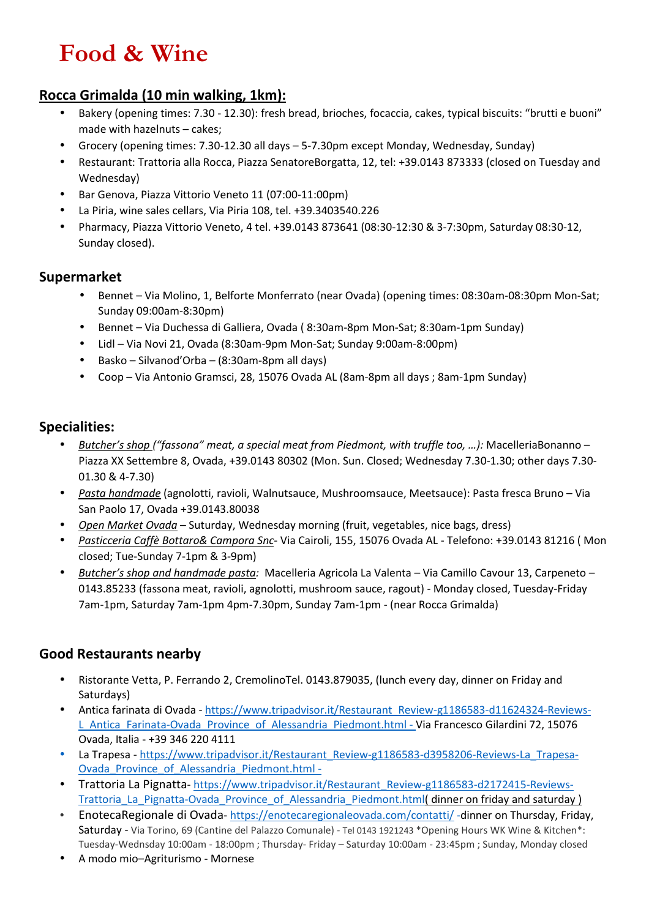# **Food & Wine**

## **Rocca Grimalda (10 min walking, 1km):**

- Bakery (opening times: 7.30 12.30): fresh bread, brioches, focaccia, cakes, typical biscuits: "brutti e buoni" made with hazelnuts – cakes;
- Grocery (opening times: 7.30-12.30 all days 5-7.30pm except Monday, Wednesday, Sunday)
- Restaurant: Trattoria alla Rocca, Piazza SenatoreBorgatta, 12, tel: +39.0143 873333 (closed on Tuesday and Wednesday)
- Bar Genova, Piazza Vittorio Veneto 11 (07:00-11:00pm)
- La Piria, wine sales cellars, Via Piria 108, tel. +39.3403540.226
- Pharmacy, Piazza Vittorio Veneto, 4 tel. +39.0143 873641 (08:30-12:30 & 3-7:30pm, Saturday 08:30-12, Sunday closed).

## **Supermarket**

- Bennet Via Molino, 1, Belforte Monferrato (near Ovada) (opening times: 08:30am-08:30pm Mon-Sat; Sunday 09:00am-8:30pm)
- Bennet Via Duchessa di Galliera, Ovada ( 8:30am-8pm Mon-Sat; 8:30am-1pm Sunday)
- Lidl Via Novi 21, Ovada (8:30am-9pm Mon-Sat; Sunday 9:00am-8:00pm)
- Basko Silvanod'Orba (8:30am-8pm all days)
- Coop Via Antonio Gramsci, 28, 15076 Ovada AL (8am-8pm all days ; 8am-1pm Sunday)

## **Specialities:**

- *Butcher's shop ("fassona" meat, a special meat from Piedmont, with truffle too, …):* MacelleriaBonanno Piazza XX Settembre 8, Ovada, +39.0143 80302 (Mon. Sun. Closed; Wednesday 7.30-1.30; other days 7.30- 01.30 & 4-7.30)
- *Pasta handmade* (agnolotti, ravioli, Walnutsauce, Mushroomsauce, Meetsauce): Pasta fresca Bruno Via San Paolo 17, Ovada +39.0143.80038
- *Open Market Ovada* Suturday, Wednesday morning (fruit, vegetables, nice bags, dress)
- *Pasticceria Caffè Bottaro& Campora Snc* Via Cairoli, 155, 15076 Ovada AL Telefono: +39.0143 81216 ( Mon closed; Tue-Sunday 7-1pm & 3-9pm)
- *Butcher's shop and handmade pasta:* Macelleria Agricola La Valenta Via Camillo Cavour 13, Carpeneto 0143.85233 (fassona meat, ravioli, agnolotti, mushroom sauce, ragout) - Monday closed, Tuesday-Friday 7am-1pm, Saturday 7am-1pm 4pm-7.30pm, Sunday 7am-1pm - (near Rocca Grimalda)

## **Good Restaurants nearby**

- Ristorante Vetta, P. Ferrando 2, CremolinoTel. 0143.879035, (lunch every day, dinner on Friday and Saturdays)
- Antica farinata di Ovada https://www.tripadvisor.it/Restaurant\_Review-g1186583-d11624324-Reviews-L Antica Farinata-Ovada Province of Alessandria Piedmont.html - Via Francesco Gilardini 72, 15076 Ovada, Italia - +39 346 220 4111
- La Trapesa https://www.tripadvisor.it/Restaurant\_Review-g1186583-d3958206-Reviews-La\_Trapesa-Ovada Province of Alessandria Piedmont.html -
- Trattoria La Pignatta- https://www.tripadvisor.it/Restaurant\_Review-g1186583-d2172415-Reviews-Trattoria La Pignatta-Ovada Province of Alessandria Piedmont.html( dinner on friday and saturday )
- EnotecaRegionale di Ovada- https://enotecaregionaleovada.com/contatti/ -dinner on Thursday, Friday, Saturday - Via Torino, 69 (Cantine del Palazzo Comunale) - Tel 0143 1921243 \*Opening Hours WK Wine & Kitchen\*: Tuesday-Wednsday 10:00am - 18:00pm ; Thursday- Friday – Saturday 10:00am - 23:45pm ; Sunday, Monday closed
- A modo mio–Agriturismo Mornese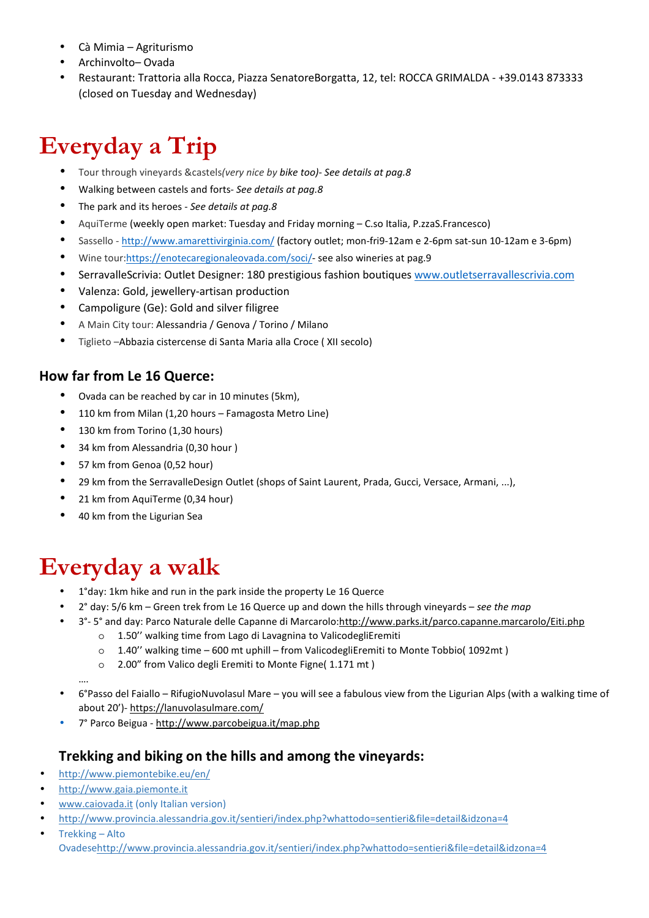- Cà Mimia Agriturismo
- Archinvolto– Ovada
- Restaurant: Trattoria alla Rocca, Piazza SenatoreBorgatta, 12, tel: ROCCA GRIMALDA +39.0143 873333 (closed on Tuesday and Wednesday)

# **Everyday a Trip**

- Tour through vineyards &castels*(very nice by bike too)*- *See details at pag.8*
- Walking between castels and forts- *See details at pag.8*
- The park and its heroes *See details at pag.8*
- AquiTerme (weekly open market: Tuesday and Friday morning C.so Italia, P.zzaS.Francesco)
- Sassello http://www.amarettivirginia.com/ (factory outlet; mon-fri9-12am e 2-6pm sat-sun 10-12am e 3-6pm)
- Wine tour:https://enotecaregionaleovada.com/soci/- see also wineries at pag.9
- SerravalleScrivia: Outlet Designer: 180 prestigious fashion boutiques www.outletserravallescrivia.com
- Valenza: Gold, jewellery-artisan production
- Campoligure (Ge): Gold and silver filigree
- A Main City tour: Alessandria / Genova / Torino / Milano
- Tiglieto –Abbazia cistercense di Santa Maria alla Croce ( XII secolo)

## **How far from Le 16 Querce:**

- Ovada can be reached by car in 10 minutes (5km),
- 110 km from Milan (1,20 hours Famagosta Metro Line)
- 130 km from Torino (1,30 hours)
- 34 km from Alessandria (0,30 hour )
- 57 km from Genoa (0,52 hour)
- 29 km from the SerravalleDesign Outlet (shops of Saint Laurent, Prada, Gucci, Versace, Armani, ...),
- 21 km from AquiTerme (0,34 hour)
- 40 km from the Ligurian Sea

# **Everyday a walk**

- 1°day: 1km hike and run in the park inside the property Le 16 Querce
- 2° day: 5/6 km Green trek from Le 16 Querce up and down the hills through vineyards *see the map*
- 3°-5° and day: Parco Naturale delle Capanne di Marcarolo:http://www.parks.it/parco.capanne.marcarolo/Eiti.php
	- o 1.50'' walking time from Lago di Lavagnina to ValicodegliEremiti
	- o 1.40'' walking time 600 mt uphill from ValicodegliEremiti to Monte Tobbio( 1092mt )
	- o 2.00" from Valico degli Eremiti to Monte Figne( 1.171 mt )

….

- 6°Passo del Faiallo RifugioNuvolasul Mare you will see a fabulous view from the Ligurian Alps (with a walking time of about 20')- https://lanuvolasulmare.com/
- 7° Parco Beigua http://www.parcobeigua.it/map.php

### **Trekking and biking on the hills and among the vineyards:**

- http://www.piemontebike.eu/en/
- http://www.gaia.piemonte.it
- www.caiovada.it (only Italian version)
- http://www.provincia.alessandria.gov.it/sentieri/index.php?whattodo=sentieri&file=detail&idzona=4
- Trekking Alto Ovadesehttp://www.provincia.alessandria.gov.it/sentieri/index.php?whattodo=sentieri&file=detail&idzona=4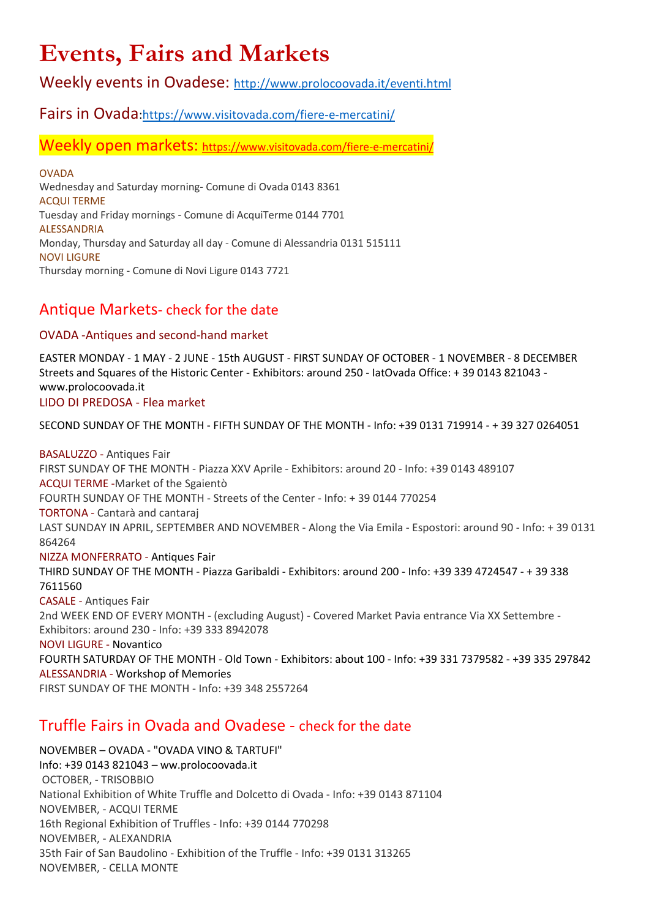# **Events, Fairs and Markets**

Weekly events in Ovadese: http://www.prolocoovada.it/eventi.html

## Fairs in Ovada:https://www.visitovada.com/fiere-e-mercatini/

Weekly open markets: https://www.visitovada.com/fiere-e-mercatini/

OVADA Wednesday and Saturday morning- Comune di Ovada 0143 8361 ACQUI TERME Tuesday and Friday mornings - Comune di AcquiTerme 0144 7701 ALESSANDRIA Monday, Thursday and Saturday all day - Comune di Alessandria 0131 515111 NOVI LIGURE Thursday morning - Comune di Novi Ligure 0143 7721

## Antique Markets- check for the date

### OVADA -Antiques and second-hand market

EASTER MONDAY - 1 MAY - 2 JUNE - 15th AUGUST - FIRST SUNDAY OF OCTOBER - 1 NOVEMBER - 8 DECEMBER Streets and Squares of the Historic Center - Exhibitors: around 250 - IatOvada Office: + 39 0143 821043 www.prolocoovada.it

### LIDO DI PREDOSA - Flea market

SECOND SUNDAY OF THE MONTH - FIFTH SUNDAY OF THE MONTH - Info: +39 0131 719914 - + 39 327 0264051

BASALUZZO - Antiques Fair FIRST SUNDAY OF THE MONTH - Piazza XXV Aprile - Exhibitors: around 20 - Info: +39 0143 489107 ACQUI TERME -Market of the Sgaientò FOURTH SUNDAY OF THE MONTH - Streets of the Center - Info: + 39 0144 770254 TORTONA - Cantarà and cantaraj LAST SUNDAY IN APRIL, SEPTEMBER AND NOVEMBER - Along the Via Emila - Espostori: around 90 - Info: + 39 0131 864264 NIZZA MONFERRATO - Antiques Fair THIRD SUNDAY OF THE MONTH - Piazza Garibaldi - Exhibitors: around 200 - Info: +39 339 4724547 - + 39 338 7611560 CASALE - Antiques Fair 2nd WEEK END OF EVERY MONTH - (excluding August) - Covered Market Pavia entrance Via XX Settembre - Exhibitors: around 230 - Info: +39 333 8942078 NOVI LIGURE - Novantico FOURTH SATURDAY OF THE MONTH - Old Town - Exhibitors: about 100 - Info: +39 331 7379582 - +39 335 297842 ALESSANDRIA - Workshop of Memories FIRST SUNDAY OF THE MONTH - Info: +39 348 2557264

## Truffle Fairs in Ovada and Ovadese - check for the date

NOVEMBER – OVADA - "OVADA VINO & TARTUFI" Info: +39 0143 821043 – ww.prolocoovada.it OCTOBER, - TRISOBBIO National Exhibition of White Truffle and Dolcetto di Ovada - Info: +39 0143 871104 NOVEMBER, - ACQUI TERME 16th Regional Exhibition of Truffles - Info: +39 0144 770298 NOVEMBER, - ALEXANDRIA 35th Fair of San Baudolino - Exhibition of the Truffle - Info: +39 0131 313265 NOVEMBER, - CELLA MONTE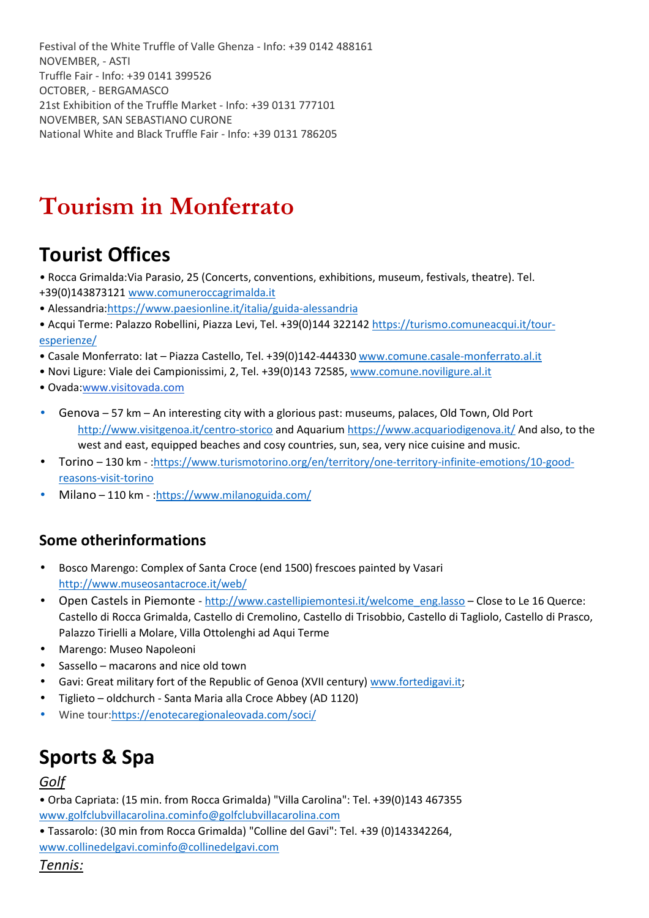Festival of the White Truffle of Valle Ghenza - Info: +39 0142 488161 NOVEMBER, - ASTI Truffle Fair - Info: +39 0141 399526 OCTOBER, - BERGAMASCO 21st Exhibition of the Truffle Market - Info: +39 0131 777101 NOVEMBER, SAN SEBASTIANO CURONE National White and Black Truffle Fair - Info: +39 0131 786205

# **Tourism in Monferrato**

## **Tourist Offices**

- Rocca Grimalda:Via Parasio, 25 (Concerts, conventions, exhibitions, museum, festivals, theatre). Tel.
- +39(0)143873121 www.comuneroccagrimalda.it
- Alessandria:https://www.paesionline.it/italia/guida-alessandria
- Acqui Terme: Palazzo Robellini, Piazza Levi, Tel. +39(0)144 322142 https://turismo.comuneacqui.it/touresperienze/
- Casale Monferrato: Iat Piazza Castello, Tel. +39(0)142-444330 www.comune.casale-monferrato.al.it
- Novi Ligure: Viale dei Campionissimi, 2, Tel. +39(0)143 72585, www.comune.noviligure.al.it
- Ovada:www.visitovada.com
- Genova 57 km An interesting city with a glorious past: museums, palaces, Old Town, Old Port http://www.visitgenoa.it/centro-storico and Aquarium https://www.acquariodigenova.it/ And also, to the west and east, equipped beaches and cosy countries, sun, sea, very nice cuisine and music.
- Torino 130 km :https://www.turismotorino.org/en/territory/one-territory-infinite-emotions/10-goodreasons-visit-torino
- Milano 110 km :https://www.milanoguida.com/

## **Some otherinformations**

- Bosco Marengo: Complex of Santa Croce (end 1500) frescoes painted by Vasari http://www.museosantacroce.it/web/
- Open Castels in Piemonte http://www.castellipiemontesi.it/welcome\_eng.lasso Close to Le 16 Querce: Castello di Rocca Grimalda, Castello di Cremolino, Castello di Trisobbio, Castello di Tagliolo, Castello di Prasco, Palazzo Tirielli a Molare, Villa Ottolenghi ad Aqui Terme
- Marengo: Museo Napoleoni
- Sassello macarons and nice old town
- Gavi: Great military fort of the Republic of Genoa (XVII century) www.fortedigavi.it;
- Tiglieto oldchurch Santa Maria alla Croce Abbey (AD 1120)
- Wine tour:https://enotecaregionaleovada.com/soci/

## **Sports & Spa**

### *Golf*

- Orba Capriata: (15 min. from Rocca Grimalda) "Villa Carolina": Tel. +39(0)143 467355 www.golfclubvillacarolina.cominfo@golfclubvillacarolina.com
- Tassarolo: (30 min from Rocca Grimalda) "Colline del Gavi": Tel. +39 (0)143342264, www.collinedelgavi.cominfo@collinedelgavi.com

*Tennis:*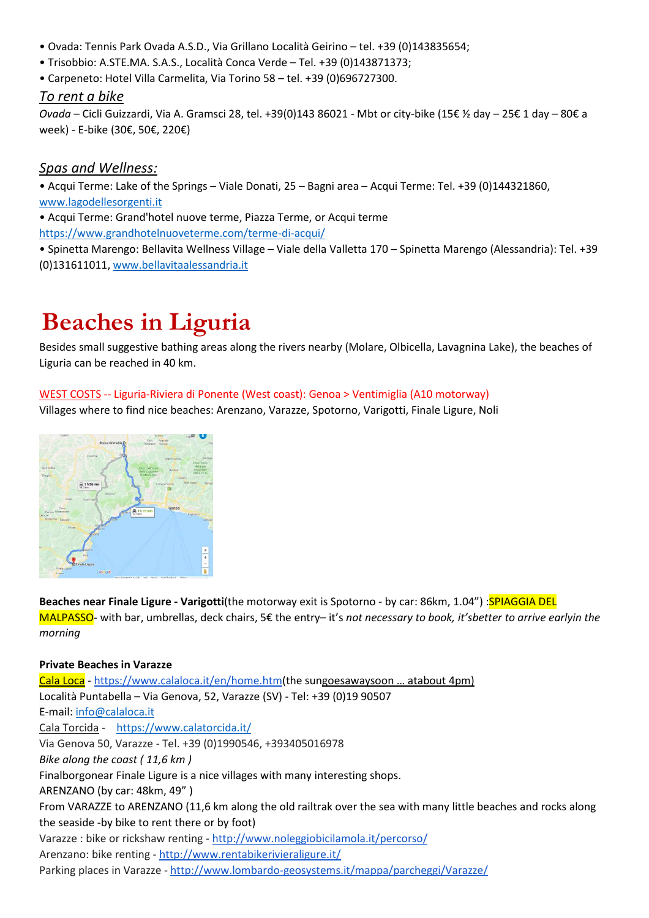- Ovada: Tennis Park Ovada A.S.D., Via Grillano Località Geirino tel. +39 (0)143835654;
- Trisobbio: A.STE.MA. S.A.S., Località Conca Verde Tel. +39 (0)143871373;
- Carpeneto: Hotel Villa Carmelita, Via Torino 58 tel. +39 (0)696727300.

### *To rent a bike*

*Ovada* – Cicli Guizzardi, Via A. Gramsci 28, tel. +39(0)143 86021 - Mbt or city-bike (15€ ½ day – 25€ 1 day – 80€ a week) - E-bike (30€, 50€, 220€)

### *Spas and Wellness:*

• Acqui Terme: Lake of the Springs – Viale Donati, 25 – Bagni area – Acqui Terme: Tel. +39 (0)144321860, www.lagodellesorgenti.it

• Acqui Terme: Grand'hotel nuove terme, Piazza Terme, or Acqui terme https://www.grandhotelnuoveterme.com/terme-di-acqui/

• Spinetta Marengo: Bellavita Wellness Village – Viale della Valletta 170 – Spinetta Marengo (Alessandria): Tel. +39 (0)131611011, www.bellavitaalessandria.it

# **Beaches in Liguria**

Besides small suggestive bathing areas along the rivers nearby (Molare, Olbicella, Lavagnina Lake), the beaches of Liguria can be reached in 40 km.

### WEST COSTS -- Liguria-Riviera di Ponente (West coast): Genoa > Ventimiglia (A10 motorway)

Villages where to find nice beaches: Arenzano, Varazze, Spotorno, Varigotti, Finale Ligure, Noli



**Beaches near Finale Ligure - Varigotti**(the motorway exit is Spotorno - by car: 86km, 1.04") :**SPIAGGIA DEL** MALPASSO- with bar, umbrellas, deck chairs, 5€ the entry– it's *not necessary to book, it'sbetter to arrive earlyin the morning*

### **Private Beaches in Varazze**

Cala Loca - https://www.calaloca.it/en/home.htm(the sungoesawaysoon … atabout 4pm) Località Puntabella – Via Genova, 52, Varazze (SV) - Tel: +39 (0)19 90507 E-mail: info@calaloca.it Cala Torcida - https://www.calatorcida.it/ Via Genova 50, Varazze - Tel. +39 (0)1990546, +393405016978 *Bike along the coast ( 11,6 km )*  Finalborgonear Finale Ligure is a nice villages with many interesting shops. ARENZANO (by car: 48km, 49" ) From VARAZZE to ARENZANO (11,6 km along the old railtrak over the sea with many little beaches and rocks along the seaside -by bike to rent there or by foot) Varazze : bike or rickshaw renting - http://www.noleggiobicilamola.it/percorso/ Arenzano: bike renting - http://www.rentabikerivieraligure.it/ Parking places in Varazze - http://www.lombardo-geosystems.it/mappa/parcheggi/Varazze/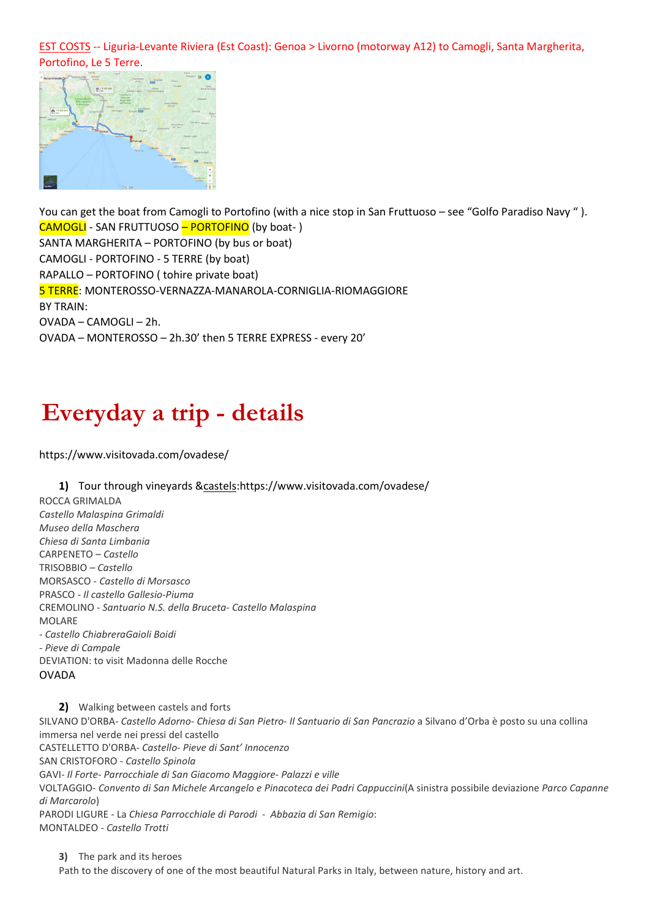EST COSTS -- Liguria-Levante Riviera (Est Coast): Genoa > Livorno (motorway A12) to Camogli, Santa Margherita, Portofino, Le 5 Terre.



You can get the boat from Camogli to Portofino (with a nice stop in San Fruttuoso – see "Golfo Paradiso Navy " ). CAMOGLI - SAN FRUTTUOSO – PORTOFINO (by boat- ) SANTA MARGHERITA – PORTOFINO (by bus or boat) CAMOGLI - PORTOFINO - 5 TERRE (by boat) RAPALLO – PORTOFINO ( tohire private boat) 5 TERRE: MONTEROSSO-VERNAZZA-MANAROLA-CORNIGLIA-RIOMAGGIORE BY TRAIN: OVADA – CAMOGLI – 2h. OVADA – MONTEROSSO – 2h.30' then 5 TERRE EXPRESS - every 20'

# **Everyday a trip - details**

https://www.visitovada.com/ovadese/

### **1)** Tour through vineyards &castels:https://www.visitovada.com/ovadese/

ROCCA GRIMALDA *Castello Malaspina Grimaldi Museo della Maschera Chiesa di Santa Limbania*  CARPENETO – *Castello*  TRISOBBIO *– Castello*  MORSASCO - *Castello di Morsasco*  PRASCO - *Il castello Gallesio-Piuma*  CREMOLINO - *Santuario N.S. della Bruceta*- *Castello Malaspina*  MOI ARF - *Castello ChiabreraGaioli Boidi* - *Pieve di Campale* DEVIATION: to visit Madonna delle Rocche OVADA

**2)** Walking between castels and forts

SILVANO D'ORBA- *Castello Adorno*- *Chiesa di San Pietro*- *Il Santuario di San Pancrazio* a Silvano d'Orba è posto su una collina immersa nel verde nei pressi del castello CASTELLETTO D'ORBA- *Castello*- *Pieve di Sant' Innocenzo* SAN CRISTOFORO - *Castello Spinola*

GAVI- *Il Forte*- *Parrocchiale di San Giacomo Maggiore*- *Palazzi e ville* VOLTAGGIO- *Convento di San Michele Arcangelo e Pinacoteca dei Padri Cappuccini*(A sinistra possibile deviazione *Parco Capanne di Marcarolo*)

PARODI LIGURE - La *Chiesa Parrocchiale di Parodi* - *Abbazia di San Remigio*: MONTALDEO - *Castello Trotti*

**3)** The park and its heroes

Path to the discovery of one of the most beautiful Natural Parks in Italy, between nature, history and art.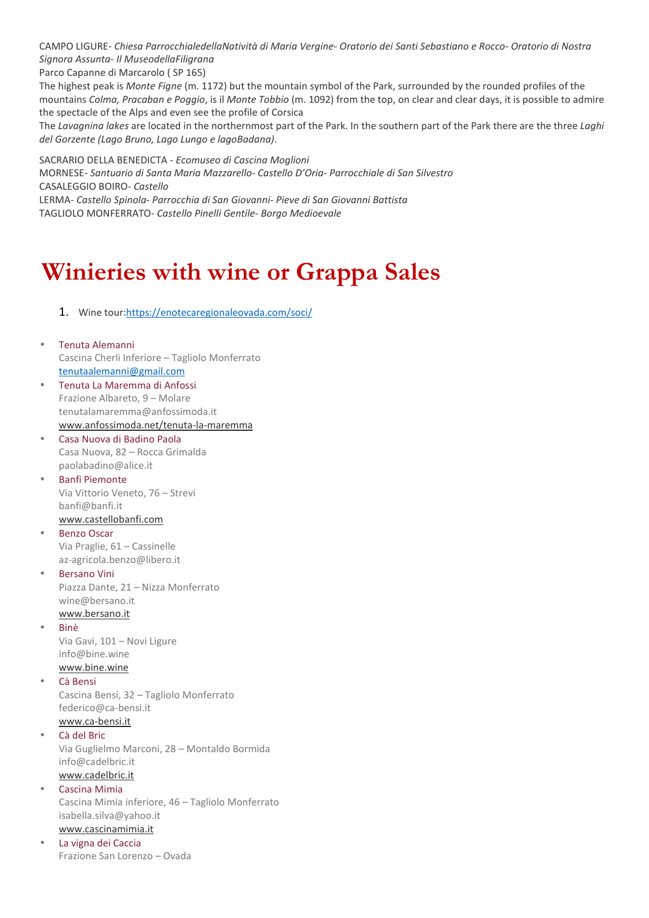CAMPO LIGURE- *Chiesa ParrocchialedellaNatività di Maria Vergine*- *Oratorio dei Santi Sebastiano e Rocco*- *Oratorio di Nostra Signora Assunta*- *Il MuseodellaFiligrana*

Parco Capanne di Marcarolo ( SP 165)

The highest peak is *Monte Figne* (m. 1172) but the mountain symbol of the Park, surrounded by the rounded profiles of the mountains *Colma, Pracaban e Poggio*, is il *Monte Tobbio* (m. 1092) from the top, on clear and clear days, it is possible to admire the spectacle of the Alps and even see the profile of Corsica

The *Lavagnina lakes* are located in the northernmost part of the Park. In the southern part of the Park there are the three *Laghi del Gorzente (Lago Bruno, Lago Lungo e lagoBadana)*.

SACRARIO DELLA BENEDICTA - *Ecomuseo di Cascina Moglioni*  MORNESE*- Santuario di Santa Maria Mazzarello- Castello D'Oria- Parrocchiale di San Silvestro* CASALEGGIO BOIRO*- Castello* LERMA*- Castello Spinola- Parrocchia di San Giovanni- Pieve di San Giovanni Battista* TAGLIOLO MONFERRATO*- Castello Pinelli Gentile- Borgo Medioevale*

# **Winieries with wine or Grappa Sales**

1. Wine tour:https://enotecaregionaleovada.com/soci/

- Tenuta Alemanni Cascina Cherli Inferiore – Tagliolo Monferrato tenutaalemanni@gmail.com
- Tenuta La Maremma di Anfossi Frazione Albareto, 9 – Molare tenutalamaremma@anfossimoda.it www.anfossimoda.net/tenuta-la-maremma
- Casa Nuova di Badino Paola Casa Nuova, 82 – Rocca Grimalda paolabadino@alice.it
- Banfi Piemonte Via Vittorio Veneto, 76 – Strevi banfi@banfi.it www.castellobanfi.com
- Benzo Oscar Via Praglie, 61 – Cassinelle az-agricola.benzo@libero.it
- Bersano Vini Piazza Dante, 21 – Nizza Monferrato wine@bersano.it www.bersano.it
	- Binè Via Gavi, 101 – Novi Ligure info@bine.wine
- www.bine.wine • Cà Bensi Cascina Bensi, 32 – Tagliolo Monferrato federico@ca-bensi.it www.ca-bensi.it

### • Cà del Bric

Via Guglielmo Marconi, 28 – Montaldo Bormida info@cadelbric.it www.cadelbric.it

• Cascina Mimia

Cascina Mimia inferiore, 46 – Tagliolo Monferrato isabella.silva@yahoo.it

## www.cascinamimia.it

• La vigna dei Caccia Frazione San Lorenzo – Ovada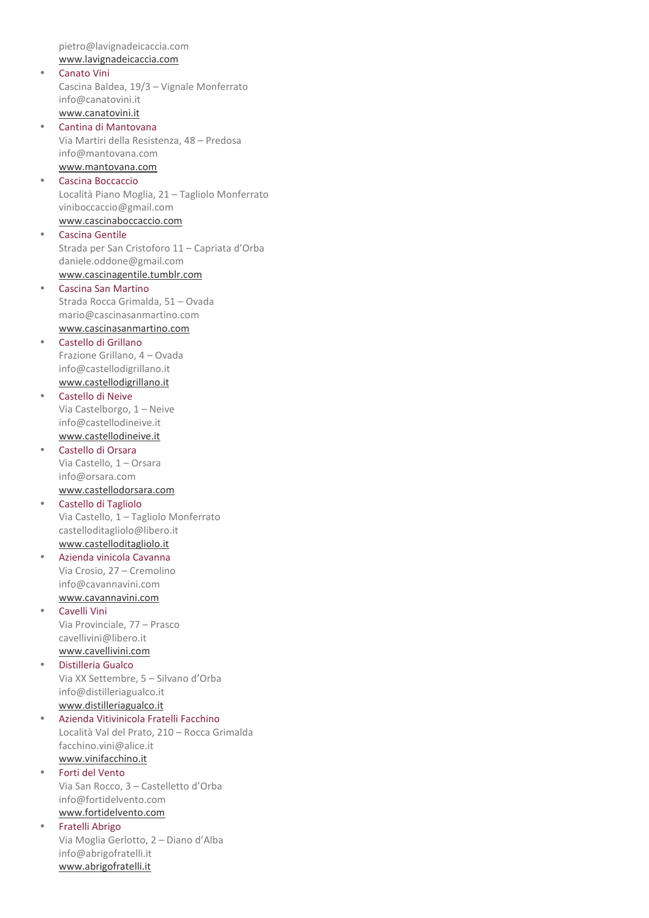pietro@lavignadeicaccia.com www.lavignadeicaccia.com

- Canato Vini Cascina Baldea, 19/3 – Vignale Monferrato info@canatovini.it www.canatovini.it
- Cantina di Mantovana Via Martiri della Resistenza, 48 – Predosa info@mantovana.com www.mantovana.com
- Cascina Boccaccio Località Piano Moglia, 21 – Tagliolo Monferrato viniboccaccio@gmail.com www.cascinaboccaccio.com
- Cascina Gentile Strada per San Cristoforo 11 – Capriata d'Orba daniele.oddone@gmail.com www.cascinagentile.tumblr.com
- Cascina San Martino Strada Rocca Grimalda, 51 – Ovada mario@cascinasanmartino.com www.cascinasanmartino.com
- Castello di Grillano Frazione Grillano, 4 – Ovada info@castellodigrillano.it www.castellodigrillano.it
- Castello di Neive Via Castelborgo, 1 – Neive info@castellodineive.it www.castellodineive.it
- Castello di Orsara Via Castello, 1 – Orsara info@orsara.com www.castellodorsara.com
- Castello di Tagliolo Via Castello, 1 – Tagliolo Monferrato castelloditagliolo@libero.it www.castelloditagliolo.it
- Azienda vinicola Cavanna Via Crosio, 27 – Cremolino info@cavannavini.com www.cavannavini.com
- Cavelli Vini Via Provinciale, 77 – Prasco cavellivini@libero.it www.cavellivini.com
- Distilleria Gualco Via XX Settembre, 5 – Silvano d'Orba info@distilleriagualco.it www.distilleriagualco.it
- Azienda Vitivinicola Fratelli Facchino Località Val del Prato, 210 – Rocca Grimalda facchino.vini@alice.it www.vinifacchino.it
- Forti del Vento Via San Rocco, 3 – Castelletto d'Orba info@fortidelvento.com www.fortidelvento.com
- Fratelli Abrigo Via Moglia Gerlotto, 2 – Diano d'Alba info@abrigofratelli.it www.abrigofratelli.it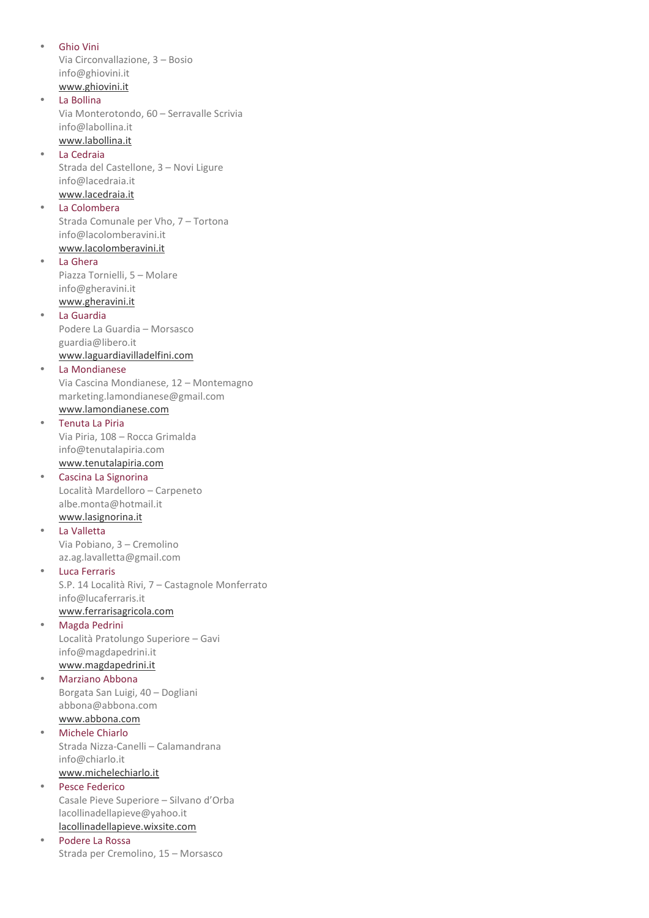• Ghio Vini Via Circonvallazione, 3 – Bosio info@ghiovini.it www.ghiovini.it La Bollina Via Monterotondo, 60 – Serravalle Scrivia info@labollina.it www.labollina.it • La Cedraia Strada del Castellone, 3 – Novi Ligure info@lacedraia.it www.lacedraia.it • La Colombera Strada Comunale per Vho, 7 – Tortona info@lacolomberavini.it www.lacolomberavini.it • La Ghera Piazza Tornielli, 5 – Molare info@gheravini.it www.gheravini.it La Guardia Podere La Guardia – Morsasco guardia@libero.it www.laguardiavilladelfini.com La Mondianese Via Cascina Mondianese, 12 – Montemagno marketing.lamondianese@gmail.com www.lamondianese.com • Tenuta La Piria Via Piria, 108 – Rocca Grimalda info@tenutalapiria.com www.tenutalapiria.com • Cascina La Signorina Località Mardelloro – Carpeneto albe.monta@hotmail.it www.lasignorina.it • La Valletta Via Pobiano, 3 – Cremolino az.ag.lavalletta@gmail.com **Luca Ferraris** S.P. 14 Località Rivi, 7 – Castagnole Monferrato info@lucaferraris.it www.ferrarisagricola.com • Magda Pedrini Località Pratolungo Superiore – Gavi info@magdapedrini.it www.magdapedrini.it • Marziano Abbona Borgata San Luigi, 40 – Dogliani abbona@abbona.com www.abbona.com • Michele Chiarlo Strada Nizza-Canelli – Calamandrana info@chiarlo.it www.michelechiarlo.it • Pesce Federico Casale Pieve Superiore – Silvano d'Orba lacollinadellapieve@yahoo.it lacollinadellapieve.wixsite.com Podere La Rossa Strada per Cremolino, 15 – Morsasco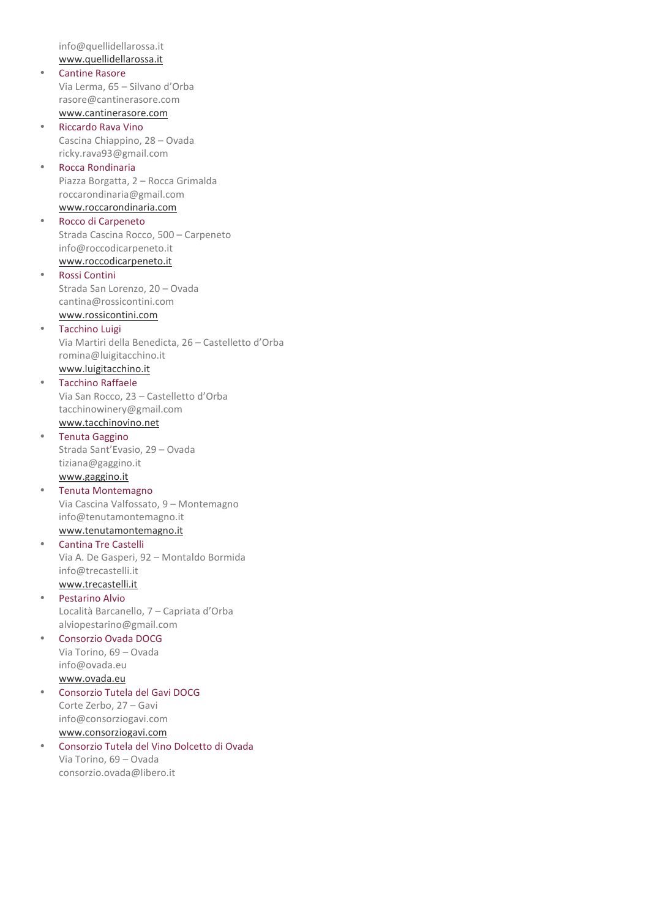info@quellidellarossa.it www.quellidellarossa.it • Cantine Rasore Via Lerma, 65 – Silvano d'Orba rasore@cantinerasore.com www.cantinerasore.com • Riccardo Rava Vino Cascina Chiappino, 28 – Ovada ricky.rava93@gmail.com • Rocca Rondinaria Piazza Borgatta, 2 – Rocca Grimalda roccarondinaria@gmail.com www.roccarondinaria.com • Rocco di Carpeneto Strada Cascina Rocco, 500 – Carpeneto info@roccodicarpeneto.it www.roccodicarpeneto.it • Rossi Contini Strada San Lorenzo, 20 – Ovada cantina@rossicontini.com www.rossicontini.com • Tacchino Luigi Via Martiri della Benedicta, 26 – Castelletto d'Orba romina@luigitacchino.it www.luigitacchino.it • Tacchino Raffaele Via San Rocco, 23 – Castelletto d'Orba tacchinowinery@gmail.com www.tacchinovino.net • Tenuta Gaggino Strada Sant'Evasio, 29 – Ovada tiziana@gaggino.it www.gaggino.it • Tenuta Montemagno Via Cascina Valfossato, 9 – Montemagno info@tenutamontemagno.it www.tenutamontemagno.it • Cantina Tre Castelli Via A. De Gasperi, 92 – Montaldo Bormida info@trecastelli.it www.trecastelli.it • Pestarino Alvio Località Barcanello, 7 – Capriata d'Orba alviopestarino@gmail.com • Consorzio Ovada DOCG Via Torino, 69 – Ovada info@ovada.eu www.ovada.eu • Consorzio Tutela del Gavi DOCG Corte Zerbo, 27 – Gavi info@consorziogavi.com www.consorziogavi.com • Consorzio Tutela del Vino Dolcetto di Ovada Via Torino, 69 – Ovada consorzio.ovada@libero.it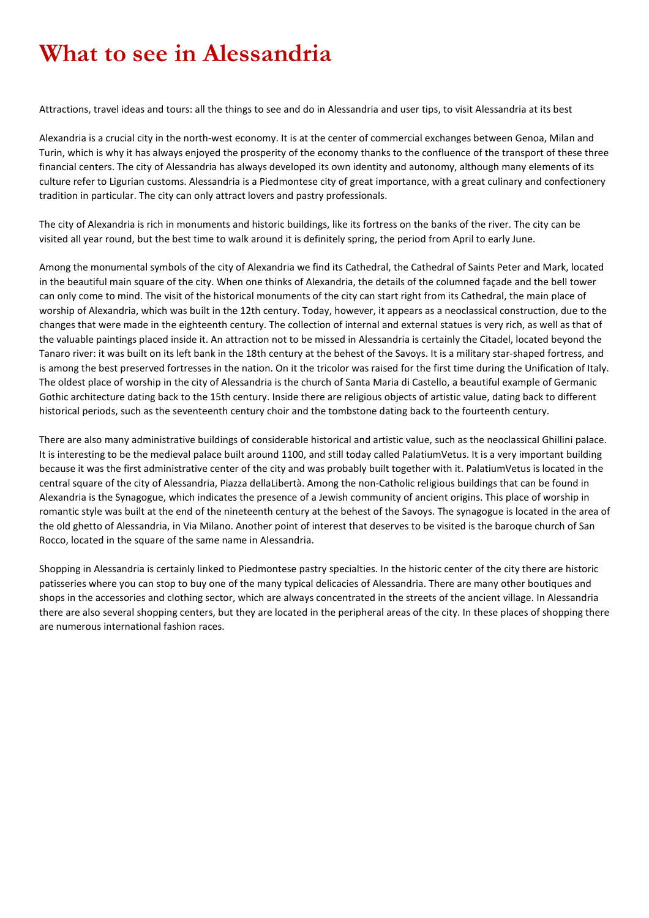# **What to see in Alessandria**

Attractions, travel ideas and tours: all the things to see and do in Alessandria and user tips, to visit Alessandria at its best

Alexandria is a crucial city in the north-west economy. It is at the center of commercial exchanges between Genoa, Milan and Turin, which is why it has always enjoyed the prosperity of the economy thanks to the confluence of the transport of these three financial centers. The city of Alessandria has always developed its own identity and autonomy, although many elements of its culture refer to Ligurian customs. Alessandria is a Piedmontese city of great importance, with a great culinary and confectionery tradition in particular. The city can only attract lovers and pastry professionals.

The city of Alexandria is rich in monuments and historic buildings, like its fortress on the banks of the river. The city can be visited all year round, but the best time to walk around it is definitely spring, the period from April to early June.

Among the monumental symbols of the city of Alexandria we find its Cathedral, the Cathedral of Saints Peter and Mark, located in the beautiful main square of the city. When one thinks of Alexandria, the details of the columned façade and the bell tower can only come to mind. The visit of the historical monuments of the city can start right from its Cathedral, the main place of worship of Alexandria, which was built in the 12th century. Today, however, it appears as a neoclassical construction, due to the changes that were made in the eighteenth century. The collection of internal and external statues is very rich, as well as that of the valuable paintings placed inside it. An attraction not to be missed in Alessandria is certainly the Citadel, located beyond the Tanaro river: it was built on its left bank in the 18th century at the behest of the Savoys. It is a military star-shaped fortress, and is among the best preserved fortresses in the nation. On it the tricolor was raised for the first time during the Unification of Italy. The oldest place of worship in the city of Alessandria is the church of Santa Maria di Castello, a beautiful example of Germanic Gothic architecture dating back to the 15th century. Inside there are religious objects of artistic value, dating back to different historical periods, such as the seventeenth century choir and the tombstone dating back to the fourteenth century.

There are also many administrative buildings of considerable historical and artistic value, such as the neoclassical Ghillini palace. It is interesting to be the medieval palace built around 1100, and still today called PalatiumVetus. It is a very important building because it was the first administrative center of the city and was probably built together with it. PalatiumVetus is located in the central square of the city of Alessandria, Piazza dellaLibertà. Among the non-Catholic religious buildings that can be found in Alexandria is the Synagogue, which indicates the presence of a Jewish community of ancient origins. This place of worship in romantic style was built at the end of the nineteenth century at the behest of the Savoys. The synagogue is located in the area of the old ghetto of Alessandria, in Via Milano. Another point of interest that deserves to be visited is the baroque church of San Rocco, located in the square of the same name in Alessandria.

Shopping in Alessandria is certainly linked to Piedmontese pastry specialties. In the historic center of the city there are historic patisseries where you can stop to buy one of the many typical delicacies of Alessandria. There are many other boutiques and shops in the accessories and clothing sector, which are always concentrated in the streets of the ancient village. In Alessandria there are also several shopping centers, but they are located in the peripheral areas of the city. In these places of shopping there are numerous international fashion races.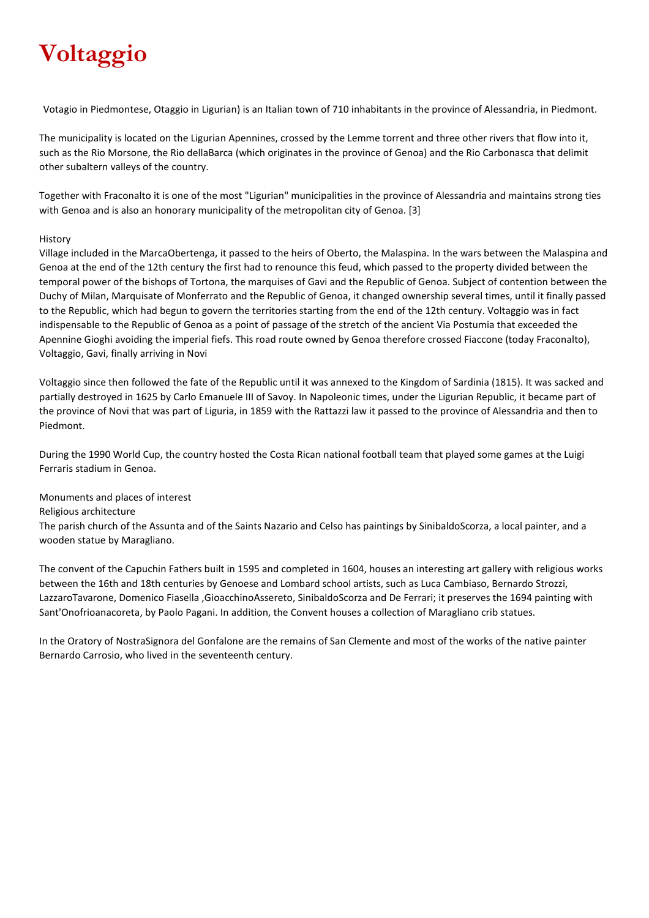# **Voltaggio**

Votagio in Piedmontese, Otaggio in Ligurian) is an Italian town of 710 inhabitants in the province of Alessandria, in Piedmont.

The municipality is located on the Ligurian Apennines, crossed by the Lemme torrent and three other rivers that flow into it, such as the Rio Morsone, the Rio dellaBarca (which originates in the province of Genoa) and the Rio Carbonasca that delimit other subaltern valleys of the country.

Together with Fraconalto it is one of the most "Ligurian" municipalities in the province of Alessandria and maintains strong ties with Genoa and is also an honorary municipality of the metropolitan city of Genoa. [3]

### History

Village included in the MarcaObertenga, it passed to the heirs of Oberto, the Malaspina. In the wars between the Malaspina and Genoa at the end of the 12th century the first had to renounce this feud, which passed to the property divided between the temporal power of the bishops of Tortona, the marquises of Gavi and the Republic of Genoa. Subject of contention between the Duchy of Milan, Marquisate of Monferrato and the Republic of Genoa, it changed ownership several times, until it finally passed to the Republic, which had begun to govern the territories starting from the end of the 12th century. Voltaggio was in fact indispensable to the Republic of Genoa as a point of passage of the stretch of the ancient Via Postumia that exceeded the Apennine Gioghi avoiding the imperial fiefs. This road route owned by Genoa therefore crossed Fiaccone (today Fraconalto), Voltaggio, Gavi, finally arriving in Novi

Voltaggio since then followed the fate of the Republic until it was annexed to the Kingdom of Sardinia (1815). It was sacked and partially destroyed in 1625 by Carlo Emanuele III of Savoy. In Napoleonic times, under the Ligurian Republic, it became part of the province of Novi that was part of Liguria, in 1859 with the Rattazzi law it passed to the province of Alessandria and then to Piedmont.

During the 1990 World Cup, the country hosted the Costa Rican national football team that played some games at the Luigi Ferraris stadium in Genoa.

Monuments and places of interest

Religious architecture

The parish church of the Assunta and of the Saints Nazario and Celso has paintings by SinibaldoScorza, a local painter, and a wooden statue by Maragliano.

The convent of the Capuchin Fathers built in 1595 and completed in 1604, houses an interesting art gallery with religious works between the 16th and 18th centuries by Genoese and Lombard school artists, such as Luca Cambiaso, Bernardo Strozzi, LazzaroTavarone, Domenico Fiasella ,GioacchinoAssereto, SinibaldoScorza and De Ferrari; it preserves the 1694 painting with Sant'Onofrioanacoreta, by Paolo Pagani. In addition, the Convent houses a collection of Maragliano crib statues.

In the Oratory of NostraSignora del Gonfalone are the remains of San Clemente and most of the works of the native painter Bernardo Carrosio, who lived in the seventeenth century.